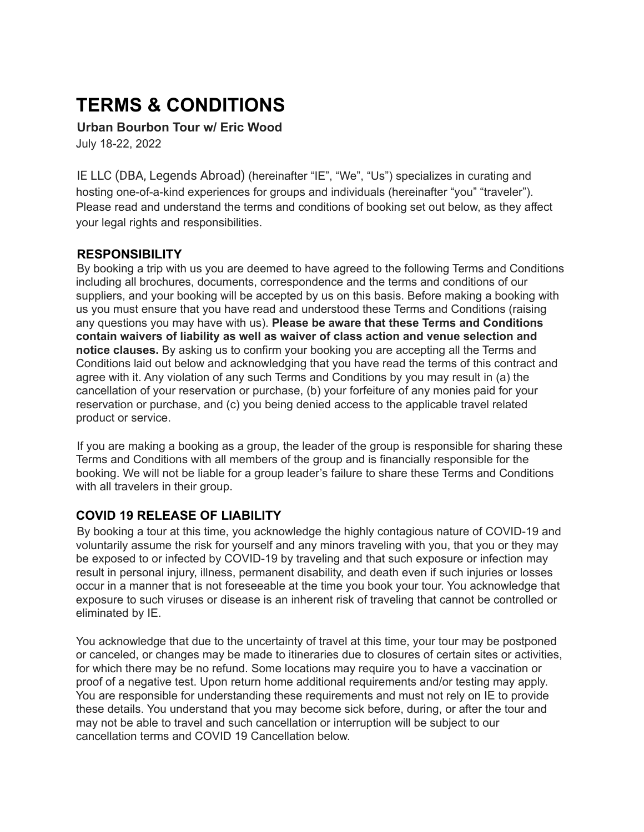# **TERMS & CONDITIONS**

**Urban Bourbon Tour w/ Eric Wood**

July 18-22, 2022

IE LLC (DBA, Legends Abroad) (hereinafter "IE", "We", "Us") specializes in curating and hosting one-of-a-kind experiences for groups and individuals (hereinafter "you" "traveler"). Please read and understand the terms and conditions of booking set out below, as they affect your legal rights and responsibilities.

#### **RESPONSIBILITY**

By booking a trip with us you are deemed to have agreed to the following Terms and Conditions including all brochures, documents, correspondence and the terms and conditions of our suppliers, and your booking will be accepted by us on this basis. Before making a booking with us you must ensure that you have read and understood these Terms and Conditions (raising any questions you may have with us). **Please be aware that these Terms and Conditions contain waivers of liability as well as waiver of class action and venue selection and notice clauses.** By asking us to confirm your booking you are accepting all the Terms and Conditions laid out below and acknowledging that you have read the terms of this contract and agree with it. Any violation of any such Terms and Conditions by you may result in (a) the cancellation of your reservation or purchase, (b) your forfeiture of any monies paid for your reservation or purchase, and (c) you being denied access to the applicable travel related product or service.

If you are making a booking as a group, the leader of the group is responsible for sharing these Terms and Conditions with all members of the group and is financially responsible for the booking. We will not be liable for a group leader's failure to share these Terms and Conditions with all travelers in their group.

## **COVID 19 RELEASE OF LIABILITY**

By booking a tour at this time, you acknowledge the highly contagious nature of COVID-19 and voluntarily assume the risk for yourself and any minors traveling with you, that you or they may be exposed to or infected by COVID-19 by traveling and that such exposure or infection may result in personal injury, illness, permanent disability, and death even if such injuries or losses occur in a manner that is not foreseeable at the time you book your tour. You acknowledge that exposure to such viruses or disease is an inherent risk of traveling that cannot be controlled or eliminated by IE.

You acknowledge that due to the uncertainty of travel at this time, your tour may be postponed or canceled, or changes may be made to itineraries due to closures of certain sites or activities, for which there may be no refund. Some locations may require you to have a vaccination or proof of a negative test. Upon return home additional requirements and/or testing may apply. You are responsible for understanding these requirements and must not rely on IE to provide these details. You understand that you may become sick before, during, or after the tour and may not be able to travel and such cancellation or interruption will be subject to our cancellation terms and COVID 19 Cancellation below.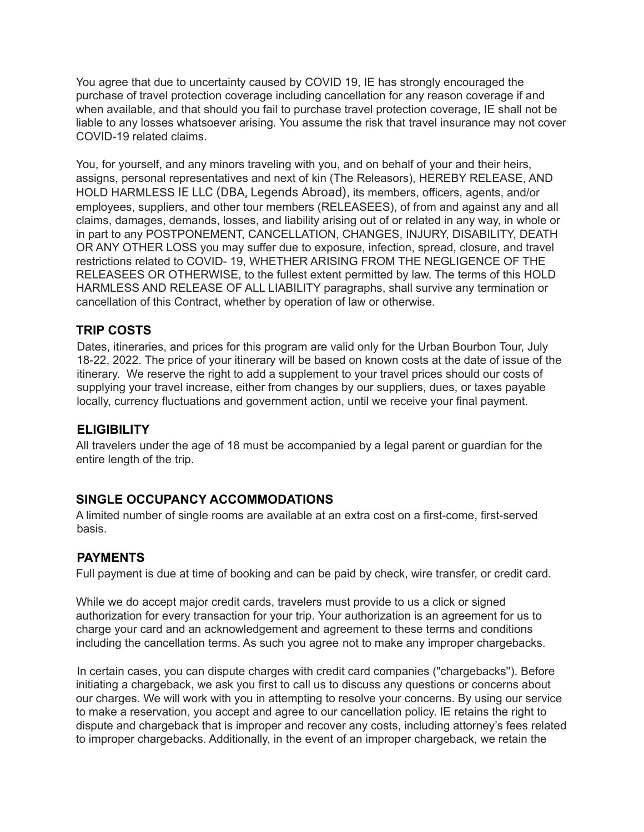You agree that due to uncertainty caused by COVID 19, IE has strongly encouraged the purchase of travel protection coverage including cancellation for any reason coverage if and when available, and that should you fail to purchase travel protection coverage, IE shall not be liable to any losses whatsoever arising. You assume the risk that travel insurance may not cover COVID-19 related claims.

You, for yourself, and any minors traveling with you, and on behalf of your and their heirs, assigns, personal representatives and next of kin (The Releasors), HEREBY RELEASE, AND HOLD HARMLESS IE LLC (DBA, Legends Abroad), its members, officers, agents, and/or employees, suppliers, and other tour members (RELEASEES), of from and against any and all claims, damages, demands, losses, and liability arising out of or related in any way, in whole or in part to any POSTPONEMENT, CANCELLATION, CHANGES, INJURY, DISABILITY, DEATH OR ANY OTHER LOSS you may suffer due to exposure, infection, spread, closure, and travel restrictions related to COVID- 19, WHETHER ARISING FROM THE NEGLIGENCE OF THE RELEASEES OR OTHERWISE, to the fullest extent permitted by law. The terms of this HOLD HARMLESS AND RELEASE OF ALL LIABILITY paragraphs, shall survive any termination or cancellation of this Contract, whether by operation of law or otherwise.

#### **TRIP COSTS**

Dates, itineraries, and prices for this program are valid only for the Urban Bourbon Tour, July 18-22, 2022. The price of your itinerary will be based on known costs at the date of issue of the itinerary. We reserve the right to add a supplement to your travel prices should our costs of supplying your travel increase, either from changes by our suppliers, dues, or taxes payable locally, currency fluctuations and government action, until we receive your final payment.

#### **ELIGIBILITY**

All travelers under the age of 18 must be accompanied by a legal parent or guardian for the entire length of the trip.

## **SINGLE OCCUPANCY ACCOMMODATIONS**

A limited number of single rooms are available at an extra cost on a first-come, first-served basis.

#### **PAYMENTS**

Full payment is due at time of booking and can be paid by check, wire transfer, or credit card.

While we do accept major credit cards, travelers must provide to us a click or signed authorization for every transaction for your trip. Your authorization is an agreement for us to charge your card and an acknowledgement and agreement to these terms and conditions including the cancellation terms. As such you agree not to make any improper chargebacks.

In certain cases, you can dispute charges with credit card companies ("chargebacks''). Before initiating a chargeback, we ask you first to call us to discuss any questions or concerns about our charges. We will work with you in attempting to resolve your concerns. By using our service to make a reservation, you accept and agree to our cancellation policy. IE retains the right to dispute and chargeback that is improper and recover any costs, including attorney's fees related to improper chargebacks. Additionally, in the event of an improper chargeback, we retain the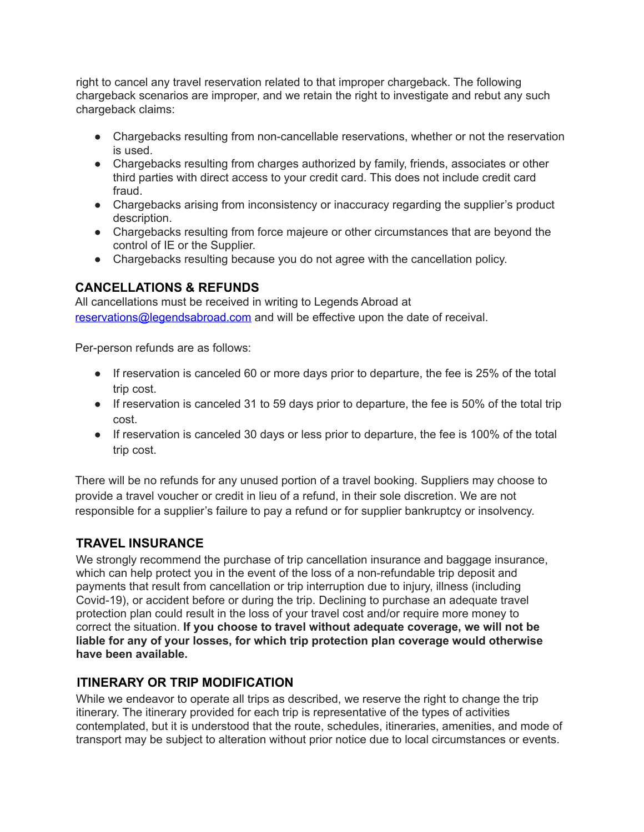right to cancel any travel reservation related to that improper chargeback. The following chargeback scenarios are improper, and we retain the right to investigate and rebut any such chargeback claims:

- Chargebacks resulting from non-cancellable reservations, whether or not the reservation is used.
- Chargebacks resulting from charges authorized by family, friends, associates or other third parties with direct access to your credit card. This does not include credit card fraud.
- Chargebacks arising from inconsistency or inaccuracy regarding the supplier's product description.
- Chargebacks resulting from force majeure or other circumstances that are beyond the control of IE or the Supplier.
- Chargebacks resulting because you do not agree with the cancellation policy.

## **CANCELLATIONS & REFUNDS**

All cancellations must be received in writing to Legends Abroad at reservations@legendsabroad.com and will be effective upon the date of receival.

Per-person refunds are as follows:

- If reservation is canceled 60 or more days prior to departure, the fee is 25% of the total trip cost.
- If reservation is canceled 31 to 59 days prior to departure, the fee is 50% of the total trip cost.
- If reservation is canceled 30 days or less prior to departure, the fee is 100% of the total trip cost.

There will be no refunds for any unused portion of a travel booking. Suppliers may choose to provide a travel voucher or credit in lieu of a refund, in their sole discretion. We are not responsible for a supplier's failure to pay a refund or for supplier bankruptcy or insolvency.

# **TRAVEL INSURANCE**

We strongly recommend the purchase of trip cancellation insurance and baggage insurance, which can help protect you in the event of the loss of a non-refundable trip deposit and payments that result from cancellation or trip interruption due to injury, illness (including Covid-19), or accident before or during the trip. Declining to purchase an adequate travel protection plan could result in the loss of your travel cost and/or require more money to correct the situation. **If you choose to travel without adequate coverage, we will not be liable for any of your losses, for which trip protection plan coverage would otherwise have been available.**

## **ITINERARY OR TRIP MODIFICATION**

While we endeavor to operate all trips as described, we reserve the right to change the trip itinerary. The itinerary provided for each trip is representative of the types of activities contemplated, but it is understood that the route, schedules, itineraries, amenities, and mode of transport may be subject to alteration without prior notice due to local circumstances or events.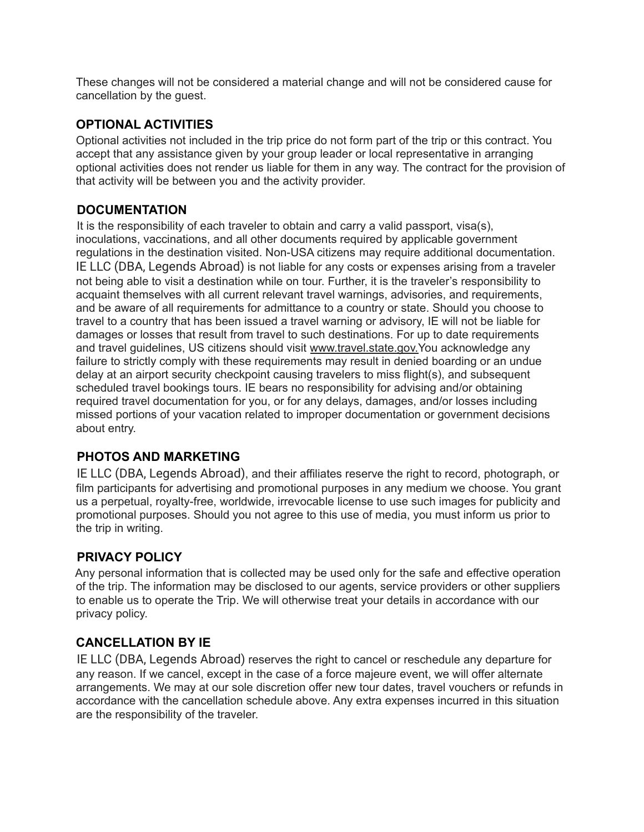These changes will not be considered a material change and will not be considered cause for cancellation by the guest.

## **OPTIONAL ACTIVITIES**

Optional activities not included in the trip price do not form part of the trip or this contract. You accept that any assistance given by your group leader or local representative in arranging optional activities does not render us liable for them in any way. The contract for the provision of that activity will be between you and the activity provider.

## **DOCUMENTATION**

It is the responsibility of each traveler to obtain and carry a valid passport, visa(s), inoculations, vaccinations, and all other documents required by applicable government regulations in the destination visited. Non-USA citizens may require additional documentation. IE LLC (DBA, Legends Abroad) is not liable for any costs or expenses arising from a traveler not being able to visit a destination while on tour. Further, it is the traveler's responsibility to acquaint themselves with all current relevant travel warnings, advisories, and requirements, and be aware of all requirements for admittance to a country or state. Should you choose to travel to a country that has been issued a travel warning or advisory, IE will not be liable for damages or losses that result from travel to such destinations. For up to date requirements and travel guidelines, US citizens should visit www.travel.state.gov.You acknowledge any failure to strictly comply with these requirements may result in denied boarding or an undue delay at an airport security checkpoint causing travelers to miss flight(s), and subsequent scheduled travel bookings tours. IE bears no responsibility for advising and/or obtaining required travel documentation for you, or for any delays, damages, and/or losses including missed portions of your vacation related to improper documentation or government decisions about entry.

# **PHOTOS AND MARKETING**

IE LLC (DBA, Legends Abroad), and their affiliates reserve the right to record, photograph, or film participants for advertising and promotional purposes in any medium we choose. You grant us a perpetual, royalty-free, worldwide, irrevocable license to use such images for publicity and promotional purposes. Should you not agree to this use of media, you must inform us prior to the trip in writing.

# **PRIVACY POLICY**

Any personal information that is collected may be used only for the safe and effective operation of the trip. The information may be disclosed to our agents, service providers or other suppliers to enable us to operate the Trip. We will otherwise treat your details in accordance with our privacy policy.

## **CANCELLATION BY IE**

IE LLC (DBA, Legends Abroad) reserves the right to cancel or reschedule any departure for any reason. If we cancel, except in the case of a force majeure event, we will offer alternate arrangements. We may at our sole discretion offer new tour dates, travel vouchers or refunds in accordance with the cancellation schedule above. Any extra expenses incurred in this situation are the responsibility of the traveler.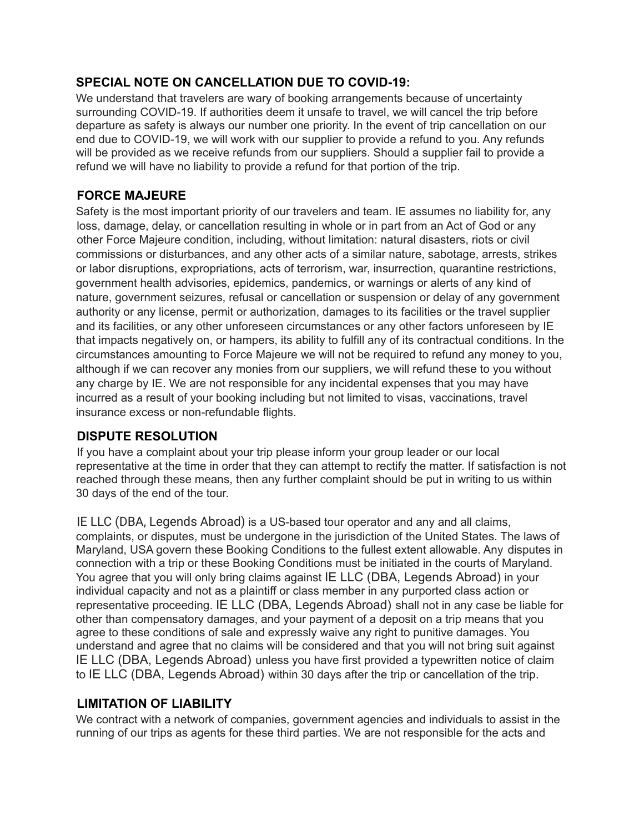## **SPECIAL NOTE ON CANCELLATION DUE TO COVID-19:**

We understand that travelers are wary of booking arrangements because of uncertainty surrounding COVID-19. If authorities deem it unsafe to travel, we will cancel the trip before departure as safety is always our number one priority. In the event of trip cancellation on our end due to COVID-19, we will work with our supplier to provide a refund to you. Any refunds will be provided as we receive refunds from our suppliers. Should a supplier fail to provide a refund we will have no liability to provide a refund for that portion of the trip.

#### **FORCE MAJEURE**

Safety is the most important priority of our travelers and team. IE assumes no liability for, any loss, damage, delay, or cancellation resulting in whole or in part from an Act of God or any other Force Majeure condition, including, without limitation: natural disasters, riots or civil commissions or disturbances, and any other acts of a similar nature, sabotage, arrests, strikes or labor disruptions, expropriations, acts of terrorism, war, insurrection, quarantine restrictions, government health advisories, epidemics, pandemics, or warnings or alerts of any kind of nature, government seizures, refusal or cancellation or suspension or delay of any government authority or any license, permit or authorization, damages to its facilities or the travel supplier and its facilities, or any other unforeseen circumstances or any other factors unforeseen by IE that impacts negatively on, or hampers, its ability to fulfill any of its contractual conditions. In the circumstances amounting to Force Majeure we will not be required to refund any money to you, although if we can recover any monies from our suppliers, we will refund these to you without any charge by IE. We are not responsible for any incidental expenses that you may have incurred as a result of your booking including but not limited to visas, vaccinations, travel insurance excess or non-refundable flights.

## **DISPUTE RESOLUTION**

If you have a complaint about your trip please inform your group leader or our local representative at the time in order that they can attempt to rectify the matter. If satisfaction is not reached through these means, then any further complaint should be put in writing to us within 30 days of the end of the tour.

IE LLC (DBA, Legends Abroad) is a US-based tour operator and any and all claims, complaints, or disputes, must be undergone in the jurisdiction of the United States. The laws of Maryland, USA govern these Booking Conditions to the fullest extent allowable. Any disputes in connection with a trip or these Booking Conditions must be initiated in the courts of Maryland. You agree that you will only bring claims against IE LLC (DBA, Legends Abroad) in your individual capacity and not as a plaintiff or class member in any purported class action or representative proceeding. IE LLC (DBA, Legends Abroad) shall not in any case be liable for other than compensatory damages, and your payment of a deposit on a trip means that you agree to these conditions of sale and expressly waive any right to punitive damages. You understand and agree that no claims will be considered and that you will not bring suit against IE LLC (DBA, Legends Abroad) unless you have first provided a typewritten notice of claim to IE LLC (DBA, Legends Abroad) within 30 days after the trip or cancellation of the trip.

## **LIMITATION OF LIABILITY**

We contract with a network of companies, government agencies and individuals to assist in the running of our trips as agents for these third parties. We are not responsible for the acts and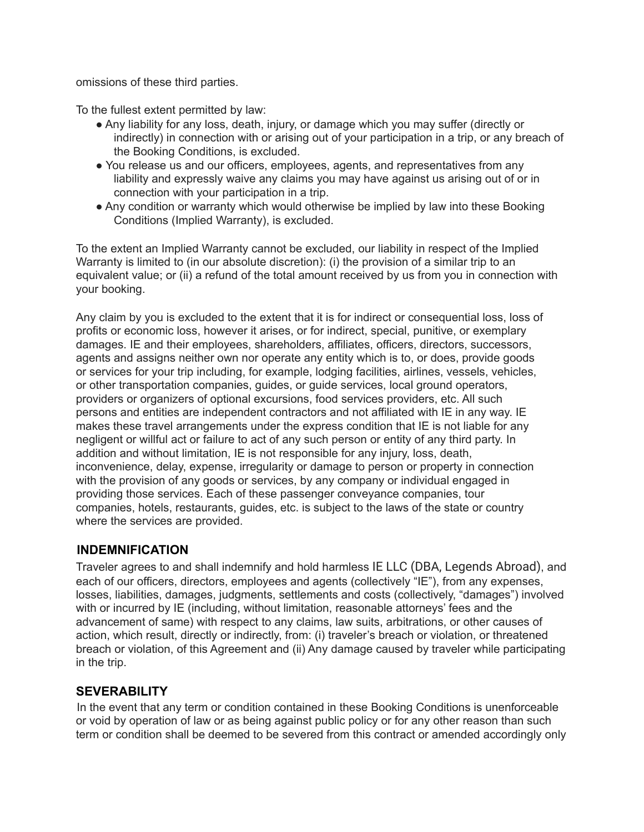omissions of these third parties.

To the fullest extent permitted by law:

- Any liability for any loss, death, injury, or damage which you may suffer (directly or indirectly) in connection with or arising out of your participation in a trip, or any breach of the Booking Conditions, is excluded.
- You release us and our officers, employees, agents, and representatives from any liability and expressly waive any claims you may have against us arising out of or in connection with your participation in a trip.
- Any condition or warranty which would otherwise be implied by law into these Booking Conditions (Implied Warranty), is excluded.

To the extent an Implied Warranty cannot be excluded, our liability in respect of the Implied Warranty is limited to (in our absolute discretion): (i) the provision of a similar trip to an equivalent value; or (ii) a refund of the total amount received by us from you in connection with your booking.

Any claim by you is excluded to the extent that it is for indirect or consequential loss, loss of profits or economic loss, however it arises, or for indirect, special, punitive, or exemplary damages. IE and their employees, shareholders, affiliates, officers, directors, successors, agents and assigns neither own nor operate any entity which is to, or does, provide goods or services for your trip including, for example, lodging facilities, airlines, vessels, vehicles, or other transportation companies, guides, or guide services, local ground operators, providers or organizers of optional excursions, food services providers, etc. All such persons and entities are independent contractors and not affiliated with IE in any way. IE makes these travel arrangements under the express condition that IE is not liable for any negligent or willful act or failure to act of any such person or entity of any third party. In addition and without limitation, IE is not responsible for any injury, loss, death, inconvenience, delay, expense, irregularity or damage to person or property in connection with the provision of any goods or services, by any company or individual engaged in providing those services. Each of these passenger conveyance companies, tour companies, hotels, restaurants, guides, etc. is subject to the laws of the state or country where the services are provided.

# **INDEMNIFICATION**

Traveler agrees to and shall indemnify and hold harmless IE LLC (DBA, Legends Abroad), and each of our officers, directors, employees and agents (collectively "IE"), from any expenses, losses, liabilities, damages, judgments, settlements and costs (collectively, "damages") involved with or incurred by IE (including, without limitation, reasonable attorneys' fees and the advancement of same) with respect to any claims, law suits, arbitrations, or other causes of action, which result, directly or indirectly, from: (i) traveler's breach or violation, or threatened breach or violation, of this Agreement and (ii) Any damage caused by traveler while participating in the trip.

## **SEVERABILITY**

In the event that any term or condition contained in these Booking Conditions is unenforceable or void by operation of law or as being against public policy or for any other reason than such term or condition shall be deemed to be severed from this contract or amended accordingly only